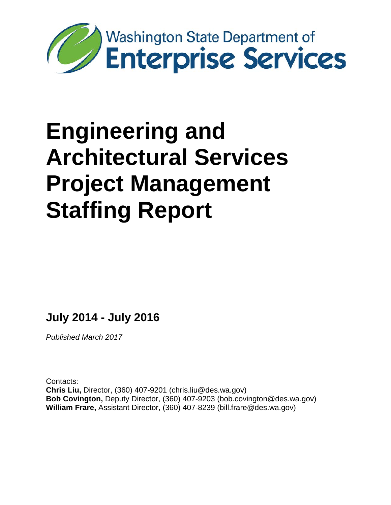

# **Engineering and Architectural Services Project Management Staffing Report**

**July 2014 - July 2016**

*Published March 2017*

Contacts: **Chris Liu,** Director, (360) 407-9201 (chris.liu@des.wa.gov) **Bob Covington,** Deputy Director, (360) 407-9203 (bob.covington@des.wa.gov) **William Frare,** Assistant Director, (360) 407-8239 (bill.frare@des.wa.gov)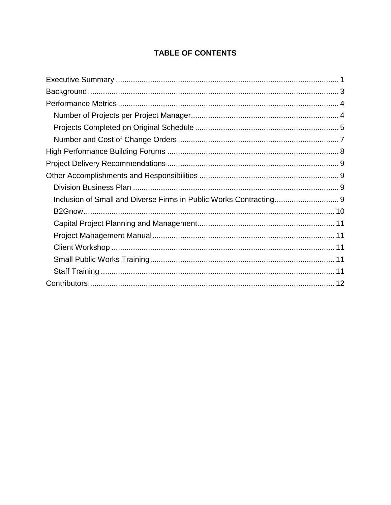# **TABLE OF CONTENTS**

| Inclusion of Small and Diverse Firms in Public Works Contracting 9 |  |
|--------------------------------------------------------------------|--|
|                                                                    |  |
|                                                                    |  |
|                                                                    |  |
|                                                                    |  |
|                                                                    |  |
|                                                                    |  |
|                                                                    |  |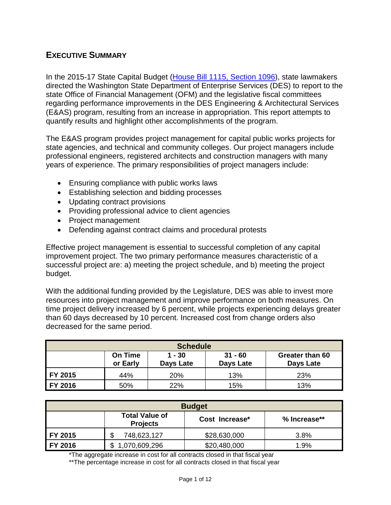# <span id="page-2-0"></span>**EXECUTIVE SUMMARY**

In the 2015-17 State Capital Budget [\(House Bill 1115, Section 1096\)](http://lawfilesext.leg.wa.gov/biennium/2015-16/Pdf/Bills/House%20Passed%20Legislature/1115.PL.pdf), state lawmakers directed the Washington State Department of Enterprise Services (DES) to report to the state Office of Financial Management (OFM) and the legislative fiscal committees regarding performance improvements in the DES Engineering & Architectural Services (E&AS) program, resulting from an increase in appropriation. This report attempts to quantify results and highlight other accomplishments of the program.

The E&AS program provides project management for capital public works projects for state agencies, and technical and community colleges. Our project managers include professional engineers, registered architects and construction managers with many years of experience. The primary responsibilities of project managers include:

- Ensuring compliance with public works laws
- Establishing selection and bidding processes
- Updating contract provisions
- Providing professional advice to client agencies
- Project management
- Defending against contract claims and procedural protests

Effective project management is essential to successful completion of any capital improvement project. The two primary performance measures characteristic of a successful project are: a) meeting the project schedule, and b) meeting the project budget.

With the additional funding provided by the Legislature, DES was able to invest more resources into project management and improve performance on both measures. On time project delivery increased by 6 percent, while projects experiencing delays greater than 60 days decreased by 10 percent. Increased cost from change orders also decreased for the same period.

| <b>Schedule</b> |                            |                       |                               |                              |  |  |
|-----------------|----------------------------|-----------------------|-------------------------------|------------------------------|--|--|
|                 | <b>On Time</b><br>or Early | $1 - 30$<br>Days Late | $31 - 60$<br><b>Days Late</b> | Greater than 60<br>Days Late |  |  |
| FY 2015         | 44%                        | 20%                   | 13%                           | 23%                          |  |  |
| FY 2016         | 50%                        | 22%                   | 15%                           | 13%                          |  |  |

| <b>Budget</b> |                                          |                |              |  |  |  |
|---------------|------------------------------------------|----------------|--------------|--|--|--|
|               | <b>Total Value of</b><br><b>Projects</b> | Cost Increase* | % Increase** |  |  |  |
| FY 2015       | 748,623,127                              | \$28,630,000   | 3.8%         |  |  |  |
| FY 2016       | 1,070,609,296                            | \$20,480,000   | 1.9%         |  |  |  |

\*The aggregate increase in cost for all contracts closed in that fiscal year

\*\*The percentage increase in cost for all contracts closed in that fiscal year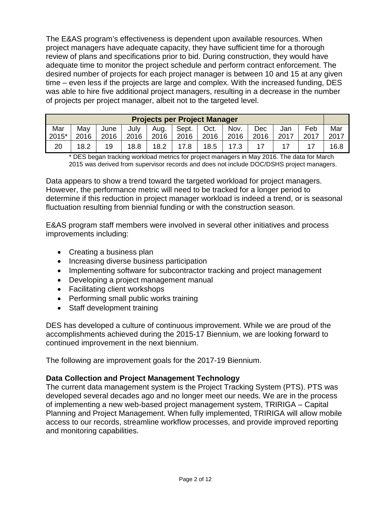The E&AS program's effectiveness is dependent upon available resources. When project managers have adequate capacity, they have sufficient time for a thorough review of plans and specifications prior to bid. During construction, they would have adequate time to monitor the project schedule and perform contract enforcement. The desired number of projects for each project manager is between 10 and 15 at any given time – even less if the projects are large and complex. With the increased funding, DES was able to hire five additional project managers, resulting in a decrease in the number of projects per project manager, albeit not to the targeted level.

| <b>Projects per Project Manager</b> |      |      |      |      |       |      |      |      |      |      |      |
|-------------------------------------|------|------|------|------|-------|------|------|------|------|------|------|
| Mar                                 | May  | June | July | Aug. | Sept. | Oct. | Nov. | Dec  | Jan  | Feb  | Mar  |
| 2015*                               | 2016 | 2016 | 2016 | 2016 | 2016  | 2016 | 2016 | 2016 | 2017 | 2017 | 2017 |
| 20                                  | 18.2 | 19   | 18.8 | 18.2 | 17.8  | 18.5 |      |      |      |      | 16.8 |

\* DES began tracking workload metrics for project managers in May 2016. The data for March 2015 was derived from supervisor records and does not include DOC/DSHS project managers.

Data appears to show a trend toward the targeted workload for project managers. However, the performance metric will need to be tracked for a longer period to determine if this reduction in project manager workload is indeed a trend, or is seasonal fluctuation resulting from biennial funding or with the construction season.

E&AS program staff members were involved in several other initiatives and process improvements including:

- Creating a business plan
- Increasing diverse business participation
- Implementing software for subcontractor tracking and project management
- Developing a project management manual
- Facilitating client workshops
- Performing small public works training
- Staff development training

DES has developed a culture of continuous improvement. While we are proud of the accomplishments achieved during the 2015-17 Biennium, we are looking forward to continued improvement in the next biennium.

The following are improvement goals for the 2017-19 Biennium.

#### **Data Collection and Project Management Technology**

The current data management system is the Project Tracking System (PTS). PTS was developed several decades ago and no longer meet our needs. We are in the process of implementing a new web-based project management system, TRIRIGA – Capital Planning and Project Management. When fully implemented, TRIRIGA will allow mobile access to our records, streamline workflow processes, and provide improved reporting and monitoring capabilities.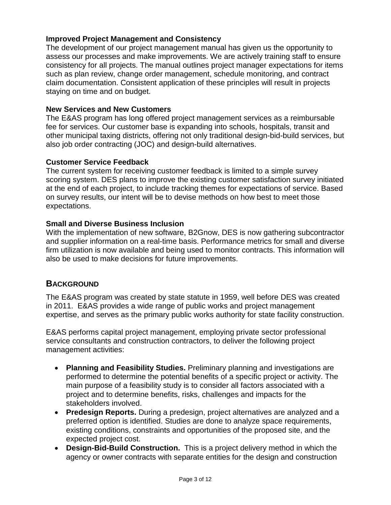## **Improved Project Management and Consistency**

The development of our project management manual has given us the opportunity to assess our processes and make improvements. We are actively training staff to ensure consistency for all projects. The manual outlines project manager expectations for items such as plan review, change order management, schedule monitoring, and contract claim documentation. Consistent application of these principles will result in projects staying on time and on budget.

#### **New Services and New Customers**

The E&AS program has long offered project management services as a reimbursable fee for services. Our customer base is expanding into schools, hospitals, transit and other municipal taxing districts, offering not only traditional design-bid-build services, but also job order contracting (JOC) and design-build alternatives.

#### **Customer Service Feedback**

The current system for receiving customer feedback is limited to a simple survey scoring system. DES plans to improve the existing customer satisfaction survey initiated at the end of each project, to include tracking themes for expectations of service. Based on survey results, our intent will be to devise methods on how best to meet those expectations.

#### **Small and Diverse Business Inclusion**

With the implementation of new software, B2Gnow, DES is now gathering subcontractor and supplier information on a real-time basis. Performance metrics for small and diverse firm utilization is now available and being used to monitor contracts. This information will also be used to make decisions for future improvements.

## <span id="page-4-0"></span>**BACKGROUND**

The E&AS program was created by state statute in 1959, well before DES was created in 2011. E&AS provides a wide range of public works and project management expertise, and serves as the primary public works authority for state facility construction.

E&AS performs capital project management, employing private sector professional service consultants and construction contractors, to deliver the following project management activities:

- **Planning and Feasibility Studies.** Preliminary planning and investigations are performed to determine the potential benefits of a specific project or activity. The main purpose of a feasibility study is to consider all factors associated with a project and to determine benefits, risks, challenges and impacts for the stakeholders involved.
- **Predesign Reports.** During a predesign, project alternatives are analyzed and a preferred option is identified. Studies are done to analyze space requirements, existing conditions, constraints and opportunities of the proposed site, and the expected project cost.
- **Design-Bid-Build Construction.** This is a project delivery method in which the agency or owner contracts with separate entities for the design and construction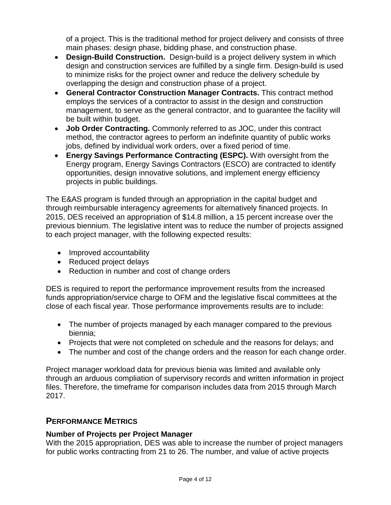of a project. This is the traditional method for project delivery and consists of three main phases: design phase, bidding phase, and construction phase.

- **Design-Build Construction.** Design-build is a project delivery system in which design and construction services are fulfilled by a single firm. Design-build is used to minimize risks for the project owner and reduce the delivery schedule by overlapping the design and construction phase of a project.
- **General Contractor Construction Manager Contracts.** This contract method employs the services of a contractor to assist in the design and construction management, to serve as the general contractor, and to guarantee the facility will be built within budget.
- **Job Order Contracting.** Commonly referred to as JOC, under this contract method, the contractor agrees to perform an indefinite quantity of public works jobs, defined by individual work orders, over a fixed period of time.
- **Energy Savings Performance Contracting (ESPC).** With oversight from the Energy program, Energy Savings Contractors (ESCO) are contracted to identify opportunities, design innovative solutions, and implement energy efficiency projects in public buildings.

The E&AS program is funded through an appropriation in the capital budget and through reimbursable interagency agreements for alternatively financed projects. In 2015, DES received an appropriation of \$14.8 million, a 15 percent increase over the previous biennium. The legislative intent was to reduce the number of projects assigned to each project manager, with the following expected results:

- Improved accountability
- Reduced project delays
- Reduction in number and cost of change orders

DES is required to report the performance improvement results from the increased funds appropriation/service charge to OFM and the legislative fiscal committees at the close of each fiscal year. Those performance improvements results are to include:

- The number of projects managed by each manager compared to the previous biennia;
- Projects that were not completed on schedule and the reasons for delays; and
- The number and cost of the change orders and the reason for each change order.

Project manager workload data for previous bienia was limited and available only through an arduous compliation of supervisory records and written information in project files. Therefore, the timeframe for comparison includes data from 2015 through March 2017.

# <span id="page-5-0"></span>**PERFORMANCE METRICS**

## <span id="page-5-1"></span>**Number of Projects per Project Manager**

With the 2015 appropriation, DES was able to increase the number of project managers for public works contracting from 21 to 26. The number, and value of active projects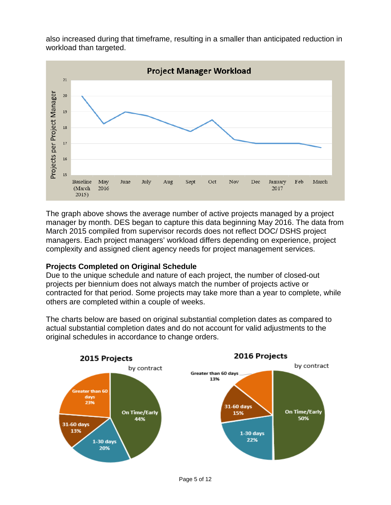also increased during that timeframe, resulting in a smaller than anticipated reduction in workload than targeted.



The graph above shows the average number of active projects managed by a project manager by month. DES began to capture this data beginning May 2016. The data from March 2015 compiled from supervisor records does not reflect DOC/ DSHS project managers. Each project managers' workload differs depending on experience, project complexity and assigned client agency needs for project management services.

## <span id="page-6-0"></span>**Projects Completed on Original Schedule**

Due to the unique schedule and nature of each project, the number of closed-out projects per biennium does not always match the number of projects active or contracted for that period. Some projects may take more than a year to complete, while others are completed within a couple of weeks.

The charts below are based on original substantial completion dates as compared to actual substantial completion dates and do not account for valid adjustments to the original schedules in accordance to change orders.

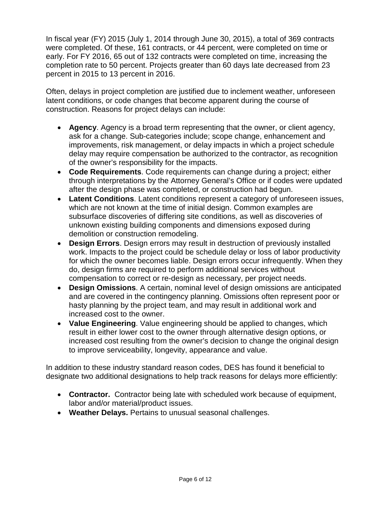In fiscal year (FY) 2015 (July 1, 2014 through June 30, 2015), a total of 369 contracts were completed. Of these, 161 contracts, or 44 percent, were completed on time or early. For FY 2016, 65 out of 132 contracts were completed on time, increasing the completion rate to 50 percent. Projects greater than 60 days late decreased from 23 percent in 2015 to 13 percent in 2016.

Often, delays in project completion are justified due to inclement weather, unforeseen latent conditions, or code changes that become apparent during the course of construction. Reasons for project delays can include:

- **Agency**. Agency is a broad term representing that the owner, or client agency, ask for a change. Sub-categories include; scope change, enhancement and improvements, risk management, or delay impacts in which a project schedule delay may require compensation be authorized to the contractor, as recognition of the owner's responsibility for the impacts.
- **Code Requirements**. Code requirements can change during a project; either through interpretations by the Attorney General's Office or if codes were updated after the design phase was completed, or construction had begun.
- **Latent Conditions**. Latent conditions represent a category of unforeseen issues, which are not known at the time of initial design. Common examples are subsurface discoveries of differing site conditions, as well as discoveries of unknown existing building components and dimensions exposed during demolition or construction remodeling.
- **Design Errors**. Design errors may result in destruction of previously installed work. Impacts to the project could be schedule delay or loss of labor productivity for which the owner becomes liable. Design errors occur infrequently. When they do, design firms are required to perform additional services without compensation to correct or re-design as necessary, per project needs.
- **Design Omissions**. A certain, nominal level of design omissions are anticipated and are covered in the contingency planning. Omissions often represent poor or hasty planning by the project team, and may result in additional work and increased cost to the owner.
- **Value Engineering**. Value engineering should be applied to changes, which result in either lower cost to the owner through alternative design options, or increased cost resulting from the owner's decision to change the original design to improve serviceability, longevity, appearance and value.

In addition to these industry standard reason codes, DES has found it beneficial to designate two additional designations to help track reasons for delays more efficiently:

- **Contractor.** Contractor being late with scheduled work because of equipment, labor and/or material/product issues.
- **Weather Delays.** Pertains to unusual seasonal challenges.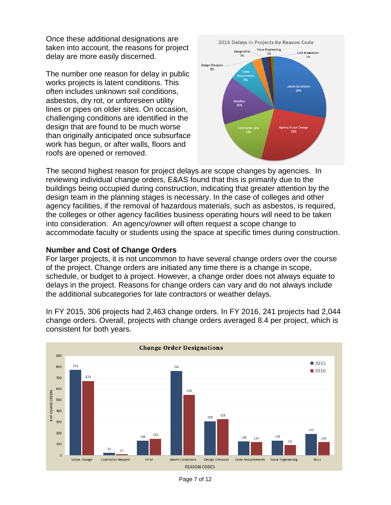Once these additional designations are taken into account, the reasons for project delay are more easily discerned.

The number one reason for delay in public works projects is latent conditions. This often includes unknown soil conditions, asbestos, dry rot, or unforeseen utility lines or pipes on older sites. On occasion, challenging conditions are identified in the design that are found to be much worse than originally anticipated once subsurface work has begun, or after walls, floors and roofs are opened or removed.



The second highest reason for project delays are scope changes by agencies. In reviewing individual change orders, E&AS found that this is primarily due to the buildings being occupied during construction, indicating that greater attention by the design team in the planning stages is necessary. In the case of colleges and other agency facilities, if the removal of hazardous materials, such as asbestos, is required, the colleges or other agency facilities business operating hours will need to be taken into consideration. An agency/owner will often request a scope change to accommodate faculty or students using the space at specific times during construction.

#### <span id="page-8-0"></span>**Number and Cost of Change Orders**

For larger projects, it is not uncommon to have several change orders over the course of the project. Change orders are initiated any time there is a change in scope, schedule, or budget to a project. However, a change order does not always equate to delays in the project. Reasons for change orders can vary and do not always include the additional subcategories for late contractors or weather delays.

In FY 2015, 306 projects had 2,463 change orders. In FY 2016, 241 projects had 2,044 change orders. Overall, projects with change orders averaged 8.4 per project, which is consistent for both years.



Page 7 of 12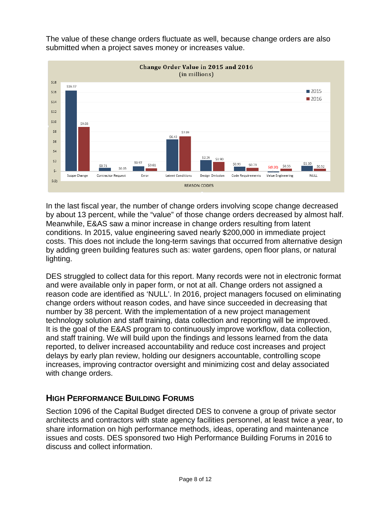The value of these change orders fluctuate as well, because change orders are also submitted when a project saves money or increases value.



In the last fiscal year, the number of change orders involving scope change decreased by about 13 percent, while the "value" of those change orders decreased by almost half. Meanwhile, E&AS saw a minor increase in change orders resulting from latent conditions. In 2015, value engineering saved nearly \$200,000 in immediate project costs. This does not include the long-term savings that occurred from alternative design by adding green building features such as: water gardens, open floor plans, or natural lighting.

DES struggled to collect data for this report. Many records were not in electronic format and were available only in paper form, or not at all. Change orders not assigned a reason code are identified as 'NULL'. In 2016, project managers focused on eliminating change orders without reason codes, and have since succeeded in decreasing that number by 38 percent. With the implementation of a new project management technology solution and staff training, data collection and reporting will be improved. It is the goal of the E&AS program to continuously improve workflow, data collection, and staff training. We will build upon the findings and lessons learned from the data reported, to deliver increased accountability and reduce cost increases and project delays by early plan review, holding our designers accountable, controlling scope increases, improving contractor oversight and minimizing cost and delay associated with change orders.

# <span id="page-9-0"></span>**HIGH PERFORMANCE BUILDING FORUMS**

Section 1096 of the Capital Budget directed DES to convene a group of private sector architects and contractors with state agency facilities personnel, at least twice a year, to share information on high performance methods, ideas, operating and maintenance issues and costs. DES sponsored two High Performance Building Forums in 2016 to discuss and collect information.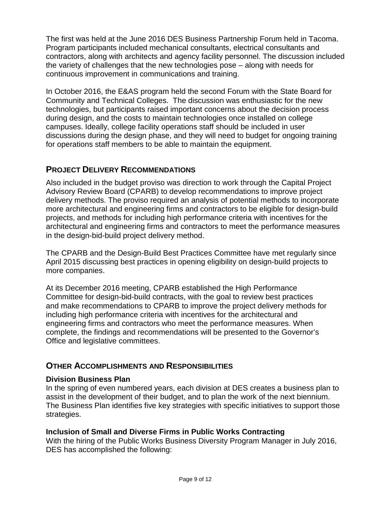The first was held at the June 2016 DES Business Partnership Forum held in Tacoma. Program participants included mechanical consultants, electrical consultants and contractors, along with architects and agency facility personnel. The discussion included the variety of challenges that the new technologies pose – along with needs for continuous improvement in communications and training.

In October 2016, the E&AS program held the second Forum with the State Board for Community and Technical Colleges. The discussion was enthusiastic for the new technologies, but participants raised important concerns about the decision process during design, and the costs to maintain technologies once installed on college campuses. Ideally, college facility operations staff should be included in user discussions during the design phase, and they will need to budget for ongoing training for operations staff members to be able to maintain the equipment.

## <span id="page-10-0"></span>**PROJECT DELIVERY RECOMMENDATIONS**

Also included in the budget proviso was direction to work through the Capital Project Advisory Review Board (CPARB) to develop recommendations to improve project delivery methods. The proviso required an analysis of potential methods to incorporate more architectural and engineering firms and contractors to be eligible for design-build projects, and methods for including high performance criteria with incentives for the architectural and engineering firms and contractors to meet the performance measures in the design-bid-build project delivery method.

The CPARB and the Design-Build Best Practices Committee have met regularly since April 2015 discussing best practices in opening eligibility on design-build projects to more companies.

At its December 2016 meeting, CPARB established the High Performance Committee for design-bid-build contracts, with the goal to review best practices and make recommendations to CPARB to improve the project delivery methods for including high performance criteria with incentives for the architectural and engineering firms and contractors who meet the performance measures. When complete, the findings and recommendations will be presented to the Governor's Office and legislative committees.

## <span id="page-10-1"></span>**OTHER ACCOMPLISHMENTS AND RESPONSIBILITIES**

#### <span id="page-10-2"></span>**Division Business Plan**

In the spring of even numbered years, each division at DES creates a business plan to assist in the development of their budget, and to plan the work of the next biennium. The Business Plan identifies five key strategies with specific initiatives to support those strategies.

#### <span id="page-10-3"></span>**Inclusion of Small and Diverse Firms in Public Works Contracting**

With the hiring of the Public Works Business Diversity Program Manager in July 2016, DES has accomplished the following: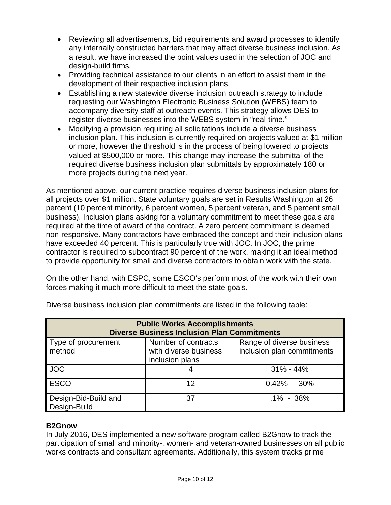- Reviewing all advertisements, bid requirements and award processes to identify any internally constructed barriers that may affect diverse business inclusion. As a result, we have increased the point values used in the selection of JOC and design-build firms.
- Providing technical assistance to our clients in an effort to assist them in the development of their respective inclusion plans.
- Establishing a new statewide diverse inclusion outreach strategy to include requesting our Washington Electronic Business Solution (WEBS) team to accompany diversity staff at outreach events. This strategy allows DES to register diverse businesses into the WEBS system in "real-time."
- Modifying a provision requiring all solicitations include a diverse business inclusion plan. This inclusion is currently required on projects valued at \$1 million or more, however the threshold is in the process of being lowered to projects valued at \$500,000 or more. This change may increase the submittal of the required diverse business inclusion plan submittals by approximately 180 or more projects during the next year.

As mentioned above, our current practice requires diverse business inclusion plans for all projects over \$1 million. State voluntary goals are set in Results Washington at 26 percent (10 percent minority, 6 percent women, 5 percent veteran, and 5 percent small business). Inclusion plans asking for a voluntary commitment to meet these goals are required at the time of award of the contract. A zero percent commitment is deemed non-responsive. Many contractors have embraced the concept and their inclusion plans have exceeded 40 percent. This is particularly true with JOC. In JOC, the prime contractor is required to subcontract 90 percent of the work, making it an ideal method to provide opportunity for small and diverse contractors to obtain work with the state.

On the other hand, with ESPC, some ESCO's perform most of the work with their own forces making it much more difficult to meet the state goals.

| <b>Public Works Accomplishments</b><br><b>Diverse Business Inclusion Plan Commitments</b> |                                                                 |                                                         |  |  |  |  |
|-------------------------------------------------------------------------------------------|-----------------------------------------------------------------|---------------------------------------------------------|--|--|--|--|
| Type of procurement<br>method                                                             | Number of contracts<br>with diverse business<br>inclusion plans | Range of diverse business<br>inclusion plan commitments |  |  |  |  |
| <b>JOC</b>                                                                                |                                                                 | $31\% - 44\%$                                           |  |  |  |  |
| <b>ESCO</b>                                                                               | 12                                                              | $0.42\% - 30\%$                                         |  |  |  |  |
| Design-Bid-Build and<br>Design-Build                                                      | 37                                                              | $.1\% - 38\%$                                           |  |  |  |  |

Diverse business inclusion plan commitments are listed in the following table:

## <span id="page-11-0"></span>**B2Gnow**

In July 2016, DES implemented a new software program called B2Gnow to track the participation of small and minority-, women- and veteran-owned businesses on all public works contracts and consultant agreements. Additionally, this system tracks prime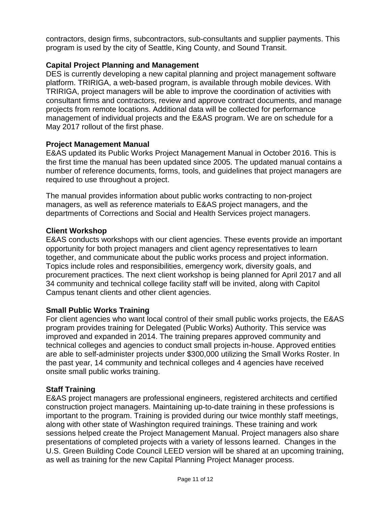contractors, design firms, subcontractors, sub-consultants and supplier payments. This program is used by the city of Seattle, King County, and Sound Transit.

## <span id="page-12-0"></span>**Capital Project Planning and Management**

DES is currently developing a new capital planning and project management software platform. TRIRIGA, a web-based program, is available through mobile devices. With TRIRIGA, project managers will be able to improve the coordination of activities with consultant firms and contractors, review and approve contract documents, and manage projects from remote locations. Additional data will be collected for performance management of individual projects and the E&AS program. We are on schedule for a May 2017 rollout of the first phase.

## <span id="page-12-1"></span>**Project Management Manual**

E&AS updated its Public Works Project Management Manual in October 2016. This is the first time the manual has been updated since 2005. The updated manual contains a number of reference documents, forms, tools, and guidelines that project managers are required to use throughout a project.

The manual provides information about public works contracting to non-project managers, as well as reference materials to E&AS project managers, and the departments of Corrections and Social and Health Services project managers.

#### <span id="page-12-2"></span>**Client Workshop**

E&AS conducts workshops with our client agencies. These events provide an important opportunity for both project managers and client agency representatives to learn together, and communicate about the public works process and project information. Topics include roles and responsibilities, emergency work, diversity goals, and procurement practices. The next client workshop is being planned for April 2017 and all 34 community and technical college facility staff will be invited, along with Capitol Campus tenant clients and other client agencies.

#### <span id="page-12-3"></span>**Small Public Works Training**

For client agencies who want local control of their small public works projects, the E&AS program provides training for Delegated (Public Works) Authority. This service was improved and expanded in 2014. The training prepares approved community and technical colleges and agencies to conduct small projects in-house. Approved entities are able to self-administer projects under \$300,000 utilizing the Small Works Roster. In the past year, 14 community and technical colleges and 4 agencies have received onsite small public works training.

#### <span id="page-12-4"></span>**Staff Training**

E&AS project managers are professional engineers, registered architects and certified construction project managers. Maintaining up-to-date training in these professions is important to the program. Training is provided during our twice monthly staff meetings, along with other state of Washington required trainings. These training and work sessions helped create the Project Management Manual. Project managers also share presentations of completed projects with a variety of lessons learned. Changes in the U.S. Green Building Code Council LEED version will be shared at an upcoming training, as well as training for the new Capital Planning Project Manager process.